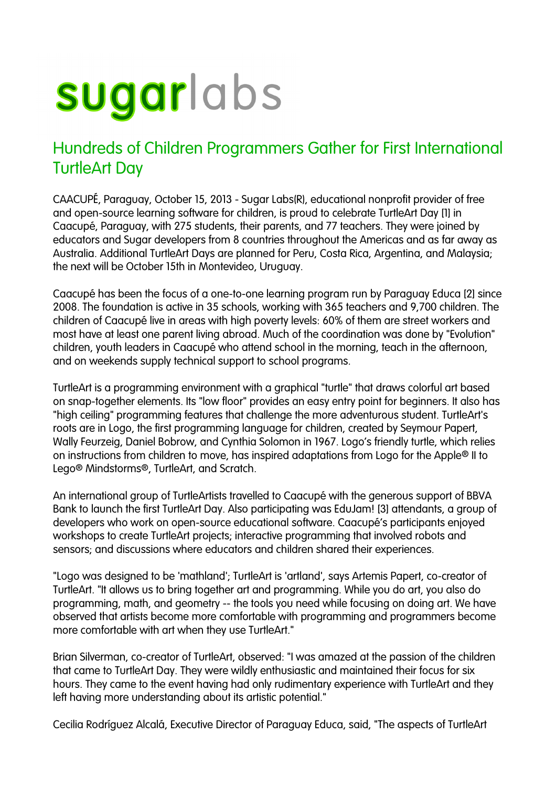## sugarlabs

## Hundreds of Children Programmers Gather for First International TurtleArt Day

CAACUPÉ, Paraguay, October 15, 2013 - Sugar Labs(R), educational nonprofit provider of free and open-source learning software for children, is proud to celebrate TurtleArt Day [1] in Caacupé, Paraguay, with 275 students, their parents, and 77 teachers. They were joined by educators and Sugar developers from 8 countries throughout the Americas and as far away as Australia. Additional TurtleArt Days are planned for Peru, Costa Rica, Argentina, and Malaysia; the next will be October 15th in Montevideo, Uruguay.

Caacupé has been the focus of a one-to-one learning program run by Paraguay Educa [2] since 2008. The foundation is active in 35 schools, working with 365 teachers and 9,700 children. The children of Caacupé live in areas with high poverty levels: 60% of them are street workers and most have at least one parent living abroad. Much of the coordination was done by "Evolution" children, youth leaders in Caacupé who attend school in the morning, teach in the afternoon, and on weekends supply technical support to school programs.

TurtleArt is a programming environment with a graphical "turtle" that draws colorful art based on snap-together elements. Its "low floor" provides an easy entry point for beginners. It also has "high ceiling" programming features that challenge the more adventurous student. TurtleArt's roots are in Logo, the first programming language for children, created by Seymour Papert, Wally Feurzeig, Daniel Bobrow, and Cynthia Solomon in 1967. Logo's friendly turtle, which relies on instructions from children to move, has inspired adaptations from Logo for the Apple® II to Lego® Mindstorms®, TurtleArt, and Scratch.

An international group of TurtleArtists travelled to Caacupé with the generous support of BBVA Bank to launch the first TurtleArt Day. Also participating was EduJam! [3] attendants, a group of developers who work on open-source educational software. Caacupé's participants enjoyed workshops to create TurtleArt projects; interactive programming that involved robots and sensors; and discussions where educators and children shared their experiences.

"Logo was designed to be 'mathland'; TurtleArt is 'artland', says Artemis Papert, co-creator of TurtleArt. "It allows us to bring together art and programming. While you do art, you also do programming, math, and geometry -- the tools you need while focusing on doing art. We have observed that artists become more comfortable with programming and programmers become more comfortable with art when they use TurtleArt."

Brian Silverman, co-creator of TurtleArt, observed: "I was amazed at the passion of the children that came to TurtleArt Day. They were wildly enthusiastic and maintained their focus for six hours. They came to the event having had only rudimentary experience with TurtleArt and they left having more understanding about its artistic potential."

Cecilia Rodríguez Alcalá, Executive Director of Paraguay Educa, said, "The aspects of TurtleArt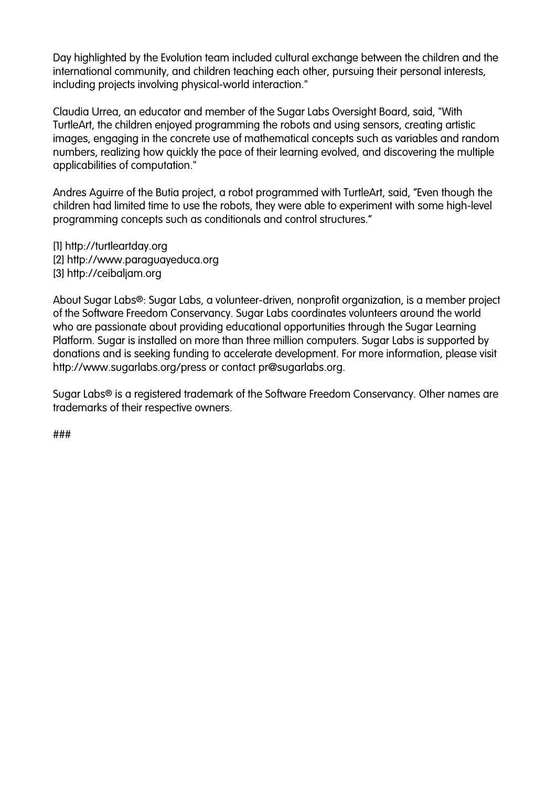Day highlighted by the Evolution team included cultural exchange between the children and the international community, and children teaching each other, pursuing their personal interests, including projects involving physical-world interaction."

Claudia Urrea, an educator and member of the Sugar Labs Oversight Board, said, "With TurtleArt, the children enjoyed programming the robots and using sensors, creating artistic images, engaging in the concrete use of mathematical concepts such as variables and random numbers, realizing how quickly the pace of their learning evolved, and discovering the multiple applicabilities of computation."

Andres Aguirre of the Butia project, a robot programmed with TurtleArt, said, "Even though the children had limited time to use the robots, they were able to experiment with some high-level programming concepts such as conditionals and control structures."

[1] http://turtleartday.org [2] http://www.paraguayeduca.org [3] http://ceibaliam.org

About Sugar Labs®: Sugar Labs, a volunteer-driven, nonprofit organization, is a member project of the Software Freedom Conservancy. Sugar Labs coordinates volunteers around the world who are passionate about providing educational opportunities through the Sugar Learning Platform. Sugar is installed on more than three million computers. Sugar Labs is supported by donations and is seeking funding to accelerate development. For more information, please visit http://www.sugarlabs.org/press or contact pr@sugarlabs.org.

Sugar Labs® is a registered trademark of the Software Freedom Conservancy. Other names are trademarks of their respective owners.

###